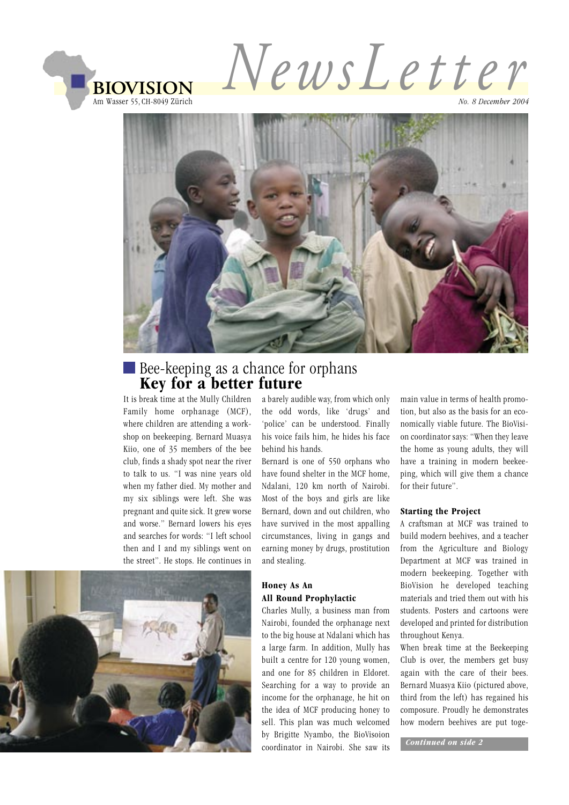

*NewsL e t t er*

*No. 8 December 2004*



# Bee-keeping as a chance for orphans  **Key for a better future**

It is break time at the Mully Children Family home orphanage (MCF), where children are attending a workshop on beekeeping. Bernard Muasya Kiio, one of 35 members of the bee club, finds a shady spot near the river to talk to us. "I was nine years old when my father died. My mother and my six siblings were left. She was pregnant and quite sick. It grew worse and worse." Bernard lowers his eyes and searches for words: "I left school then and I and my siblings went on the street". He stops. He continues in

a barely audible way, from which only the odd words, like 'drugs' and 'police' can be understood. Finally his voice fails him, he hides his face behind his hands.

Bernard is one of 550 orphans who have found shelter in the MCF home, Ndalani, 120 km north of Nairobi. Most of the boys and girls are like Bernard, down and out children, who have survived in the most appalling circumstances, living in gangs and earning money by drugs, prostitution and stealing.

#### **Honey As An All Round Prophylactic**

Charles Mully, a business man from Nairobi, founded the orphanage next to the big house at Ndalani which has a large farm. In addition, Mully has built a centre for 120 young women, and one for 85 children in Eldoret. Searching for a way to provide an income for the orphanage, he hit on the idea of MCF producing honey to sell. This plan was much welcomed by Brigitte Nyambo, the BioVisoion coordinator in Nairobi. She saw its main value in terms of health promotion, but also as the basis for an economically viable future. The BioVision coordinator says: "When they leave the home as young adults, they will have a training in modern beekeeping, which will give them a chance for their future".

#### **Starting the Project**

A craftsman at MCF was trained to build modern beehives, and a teacher from the Agriculture and Biology Department at MCF was trained in modern beekeeping. Together with BioVision he developed teaching materials and tried them out with his students. Posters and cartoons were developed and printed for distribution throughout Kenya.

When break time at the Beekeeping Club is over, the members get busy again with the care of their bees. Bernard Muasya Kiio (pictured above, third from the left) has regained his composure. Proudly he demonstrates how modern beehives are put toge-

 *Continued on side 2*

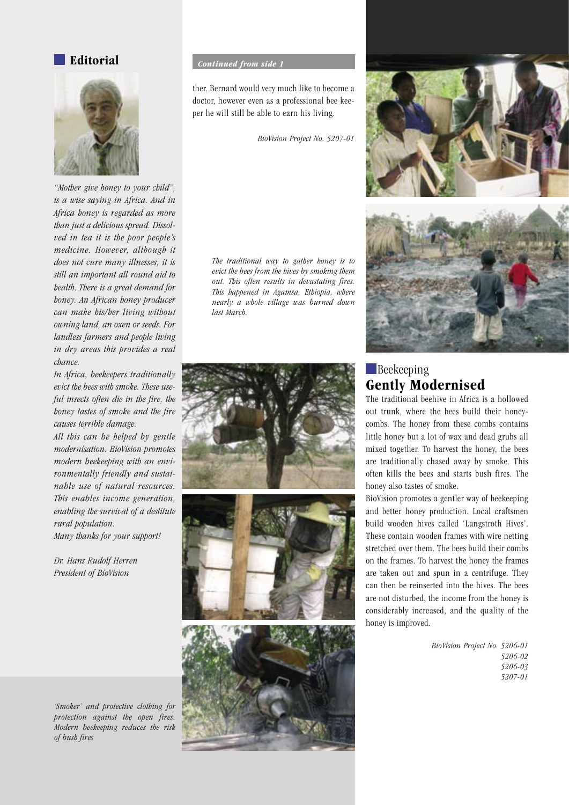#### **Editorial**



*"Mother give honey to your child", is a wise saying in Africa. And in Africa honey is regarded as more than just a delicious spread. Dissolved in tea it is the poor people's medicine. However, although it does not cure many illnesses, it is still an important all round aid to health. There is a great demand for honey. An African honey producer can make his/her living without owning land, an oxen or seeds. For landless farmers and people living in dry areas this provides a real chance.*

*In Africa, beekeepers traditionally evict the bees with smoke. These useful insects often die in the fire, the honey tastes of smoke and the fire causes terrible damage.* 

*All this can be helped by gentle modernisation. BioVision promotes modern beekeeping with an environmentally friendly and sustainable use of natural resources. This enables income generation, enabling the survival of a destitute rural population.*

*Many thanks for your support!*

*Dr. Hans Rudolf Herren President of BioVision*

 *Continued from side 1*

ther. Bernard would very much like to become a doctor, however even as a professional bee keeper he will still be able to earn his living.

*BioVision Project No. 5207-01*

*The traditional way to gather honey is to evict the bees from the hives by smoking them out. This often results in devastating fires. This happened in Agamsa, Ethiopia, where nearly a whole village was burned down last March.* 









## **Beekeeping Gently Modernised**

The traditional beehive in Africa is a hollowed out trunk, where the bees build their honeycombs. The honey from these combs contains little honey but a lot of wax and dead grubs all mixed together. To harvest the honey, the bees are traditionally chased away by smoke. This often kills the bees and starts bush fires. The honey also tastes of smoke.

BioVision promotes a gentler way of beekeeping and better honey production. Local craftsmen build wooden hives called 'Langstroth Hives'. These contain wooden frames with wire netting stretched over them. The bees build their combs on the frames. To harvest the honey the frames are taken out and spun in a centrifuge. They can then be reinserted into the hives. The bees are not disturbed, the income from the honey is considerably increased, and the quality of the honey is improved.

> *BioVision Project No. 5206-01 5206-02 5206-03 5207-01*

*'Smoker' and protective clothing for protection against the open fires. Modern beekeeping reduces the risk of bush fires*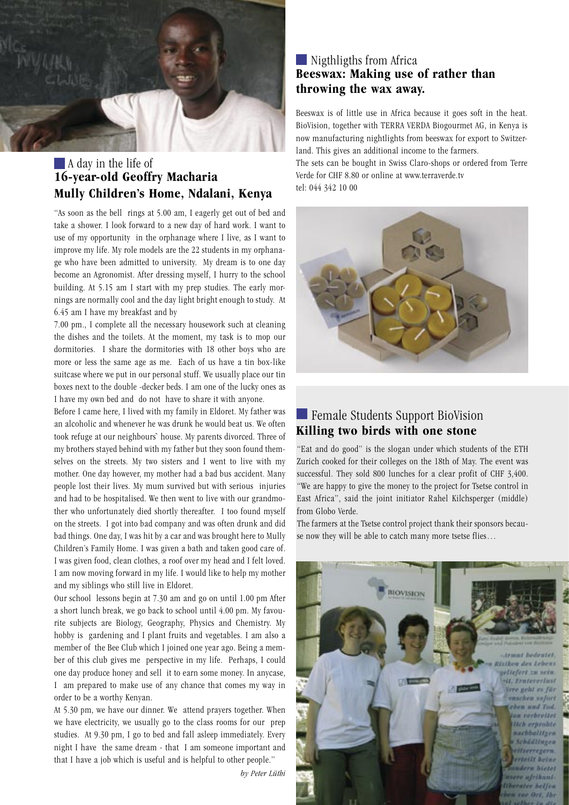

### **A** day in the life of **16-year-old Geoffry Macharia Mully Children's Home, Ndalani, Kenya**

"As soon as the bell rings at 5.00 am, I eagerly get out of bed and take a shower. I look forward to a new day of hard work. I want to use of my opportunity in the orphanage where I live, as I want to improve my life. My role models are the 22 students in my orphanage who have been admitted to university. My dream is to one day become an Agronomist. After dressing myself, I hurry to the school building. At 5.15 am I start with my prep studies. The early mornings are normally cool and the day light bright enough to study. At 6.45 am I have my breakfast and by

7.00 pm., I complete all the necessary housework such at cleaning the dishes and the toilets. At the moment, my task is to mop our dormitories. I share the dormitories with 18 other boys who are more or less the same age as me. Each of us have a tin box-like suitcase where we put in our personal stuff. We usually place our tin boxes next to the double -decker beds. I am one of the lucky ones as I have my own bed and do not have to share it with anyone.

Before I came here, I lived with my family in Eldoret. My father was an alcoholic and whenever he was drunk he would beat us. We often took refuge at our neighbours` house. My parents divorced. Three of my brothers stayed behind with my father but they soon found themselves on the streets. My two sisters and I went to live with my mother. One day however, my mother had a bad bus accident. Many people lost their lives. My mum survived but with serious injuries and had to be hospitalised. We then went to live with our grandmother who unfortunately died shortly thereafter. I too found myself on the streets. I got into bad company and was often drunk and did bad things. One day, I was hit by a car and was brought here to Mully Children's Family Home. I was given a bath and taken good care of. I was given food, clean clothes, a roof over my head and I felt loved. I am now moving forward in my life. I would like to help my mother and my siblings who still live in Eldoret.

Our school lessons begin at 7.30 am and go on until 1.00 pm After a short lunch break, we go back to school until 4.00 pm. My favourite subjects are Biology, Geography, Physics and Chemistry. My hobby is gardening and I plant fruits and vegetables. I am also a member of the Bee Club which I joined one year ago. Being a member of this club gives me perspective in my life. Perhaps, I could one day produce honey and sell it to earn some money. In anycase, I am prepared to make use of any chance that comes my way in order to be a worthy Kenyan.

At 5.30 pm, we have our dinner. We attend prayers together. When we have electricity, we usually go to the class rooms for our prep studies. At 9.30 pm, I go to bed and fall asleep immediately. Every night I have the same dream - that I am someone important and that I have a job which is useful and is helpful to other people."

*by Peter Lüthi*

#### **••** Nigthligths from Africa **Beeswax: Making use of rather than throwing the wax away.**

Beeswax is of little use in Africa because it goes soft in the heat. BioVision, together with TERRA VERDA Biogourmet AG, in Kenya is now manufacturing nightlights from beeswax for export to Switzerland. This gives an additional income to the farmers.

The sets can be bought in Swiss Claro-shops or ordered from Terre Verde for CHF 8.80 or online at www.terraverde.tv tel: 044 342 10 00



#### **Example Students Support BioVision Killing two birds with one stone**

"Eat and do good" is the slogan under which students of the ETH Zurich cooked for their colleges on the 18th of May. The event was successful. They sold 800 lunches for a clear profit of CHF 3,400. "We are happy to give the money to the project for Tsetse control in East Africa", said the joint initiator Rahel Kilchsperger (middle) from Globo Verde.

The farmers at the Tsetse control project thank their sponsors because now they will be able to catch many more tsetse flies…